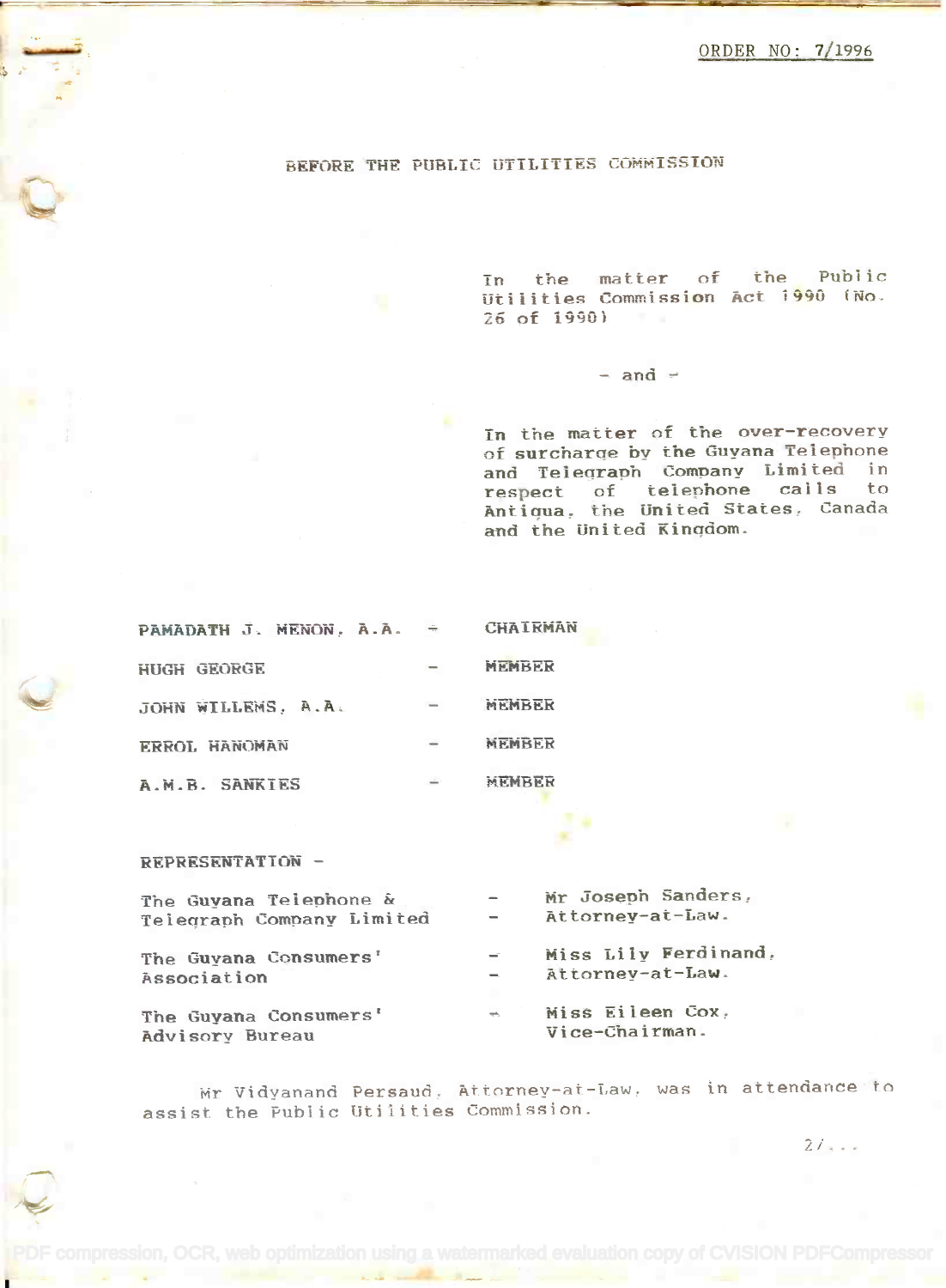## BEFORE THE PUBLIC UTILITIES COMMISSION

In the matter of the Public Utilities Commission Act 1990 (No. Utilities Commission Act j g90 *i* No. 26 of 1990)

## $-$  and  $-$

In the matter of the over-recovery of surcharge by the Guyana Telephone of surcharqe by the Guyana Telephone and Telearaph Company Limited in and Teleqraph Company Limited in respect of telephone calls to Antiqua, the United States, Canada and the United Kingdom. and the United Kinqdom.

| PAMADATH J. MENON, A.A. | $\frac{1}{2}$ and $\frac{1}{2}$ | <b>CHAIRMAN</b> |
|-------------------------|---------------------------------|-----------------|
| HUGH GEORGE             |                                 | MEMBER          |
| JOHN WILLEMS, A.A.      | $\qquad \qquad \blacksquare$    | MEMBER          |
| ERROL HANOMAN           |                                 | MEMBER          |
| A.M.B. SANKIES          |                                 | MEMBER          |

REPRESENTATION -

| The Guyana Telephone &<br>Telegraph Company Limited | $\qquad \qquad =$                    | Mr Joseph Sanders,<br>Attornev-at-Law.   |
|-----------------------------------------------------|--------------------------------------|------------------------------------------|
| The Guyana Consumers'<br>Association                | $\equiv$<br>$\overline{\phantom{a}}$ | Miss Lily Ferdinand,<br>Attorney-at-Law. |
| The Guyana Consumers'<br>Advisory Bureau            | $\frac{1}{2}$                        | Miss Eileen Cox,<br>Vice-Chairman.       |

Mr Vidyanand Persaud, Attorney-at-Law, was in attendance to assist the Public Utilities Commission.

 $21.1$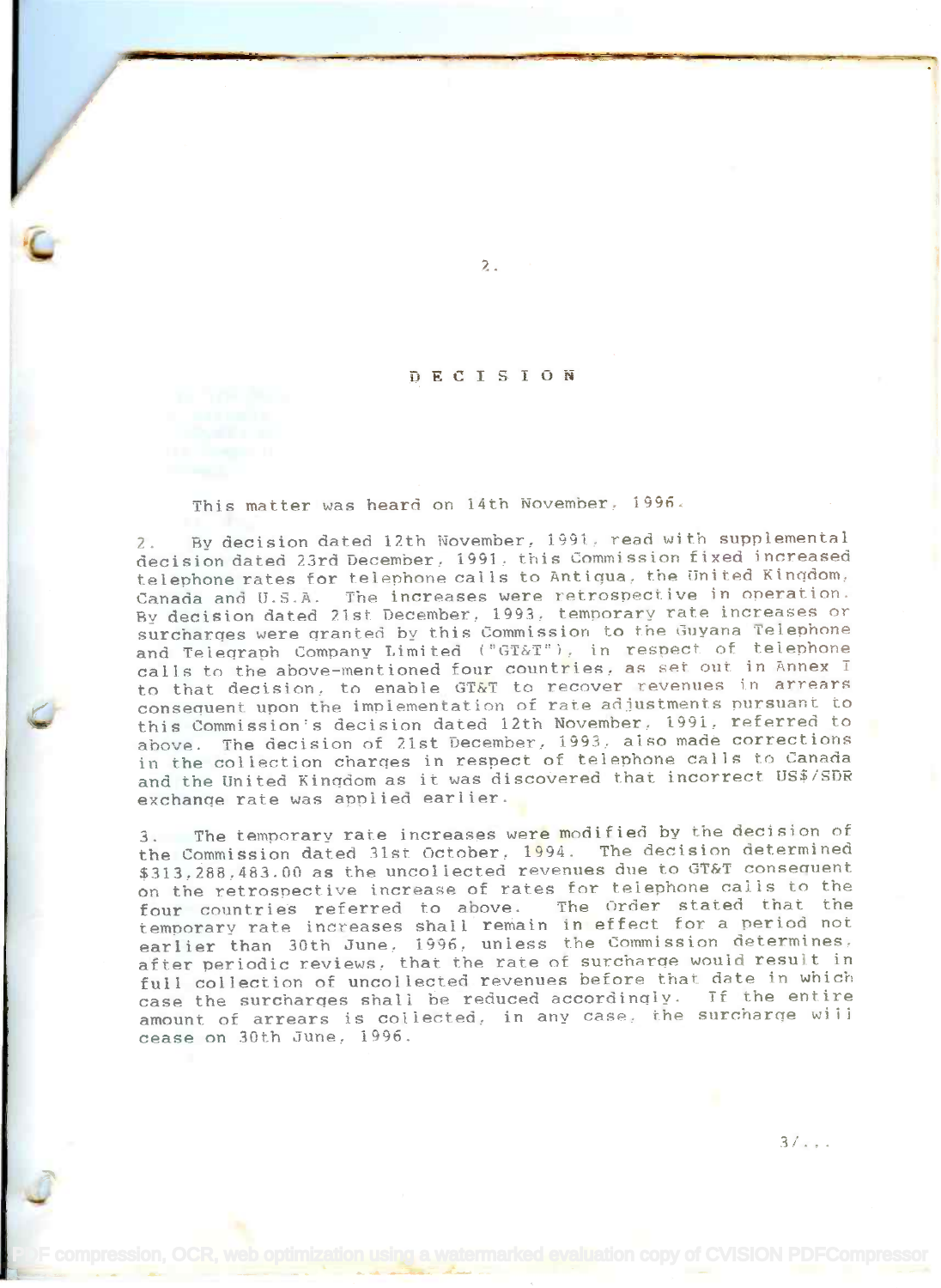## DECISION

 $2.1$ 

This matter was heard on 14th November. 1996.

2. By decision dated 12th November, 1991, read with supplemental decision dated 23rd December, 1991, this Commission fixed increased telephone rates for telephone calls to Antigua, the United Kinqdom, Canada and U.S.A. The increases were retrospective in operation. Canada and U.S.A. The increases were retrospective in operation. By decision dated 21st December. 1993, temporary rate increases or By decision dated 21st December, 1993, temporary rate increases or surcharges were granted by this Commission to the Guyana Telephone and Telegraph Company Limited ("GT&T"), in respect of telephone and referrant company binited (Sidi ), in respect of comparity in an experimentioned four countries, as set out in Annex I. to that decision, to enable GT&T to recover revenues in arrears consequent upon the implementation of rate adjustments pursuant to consequent upon the implementation of rate adjustments pursuant to this Commission's decision dated 12th November, 1991, referred to above. The decision of 21st December, 1993, also made corrections above. The decision of 21st December, 1993, also made corrections in the collection charges in respect of telephone calls to Canada in the collection charqes in respect of telephone calls to Canada and the United Kingdom as it was discovered that incorrect US\$/SDR exchange rate was applied earlier. exchanqe rate was applied earlier.

3. The temporary rate increases were modified by the decision of 3. The temporary rate increases were modified by the decision of the Commission dated 31st October, 1994. The decision determined the Commission dated 31st October, 1994. The decision determined \$313,288.483.00 as the uncollected revenues due to GT&T consequent \$313,288,483.00 as the uncollected revenues due to GT&T consequent on the retrospective increase of rates for telephone calls to the on the retrospective increase of rates tor telephone caiis to the four countries referred to above. The Order stated that the four countries referred to above. The Order stated that the temporary rate increases shall remain in effect for a period not temporary rate increases shall remain in effect for a period not earlier than 30th June. 1996, unless the Commission determines, earlier than 30th June, 1996, unless the Commission determines, after periodic reviews, that the rate of surcharge would result in after periodic reviews, that the rate of surcharqe would result in full collection of uncollected revenues before that date in which full collection of uncollected revenues before that date in which case the surcharges shall be reduced accordingly. If the entire amount of arrears is collected, in any case, the surcharge will cease on 30th June, 1996. cease on 30th June, 1996.

 $3/\ldots$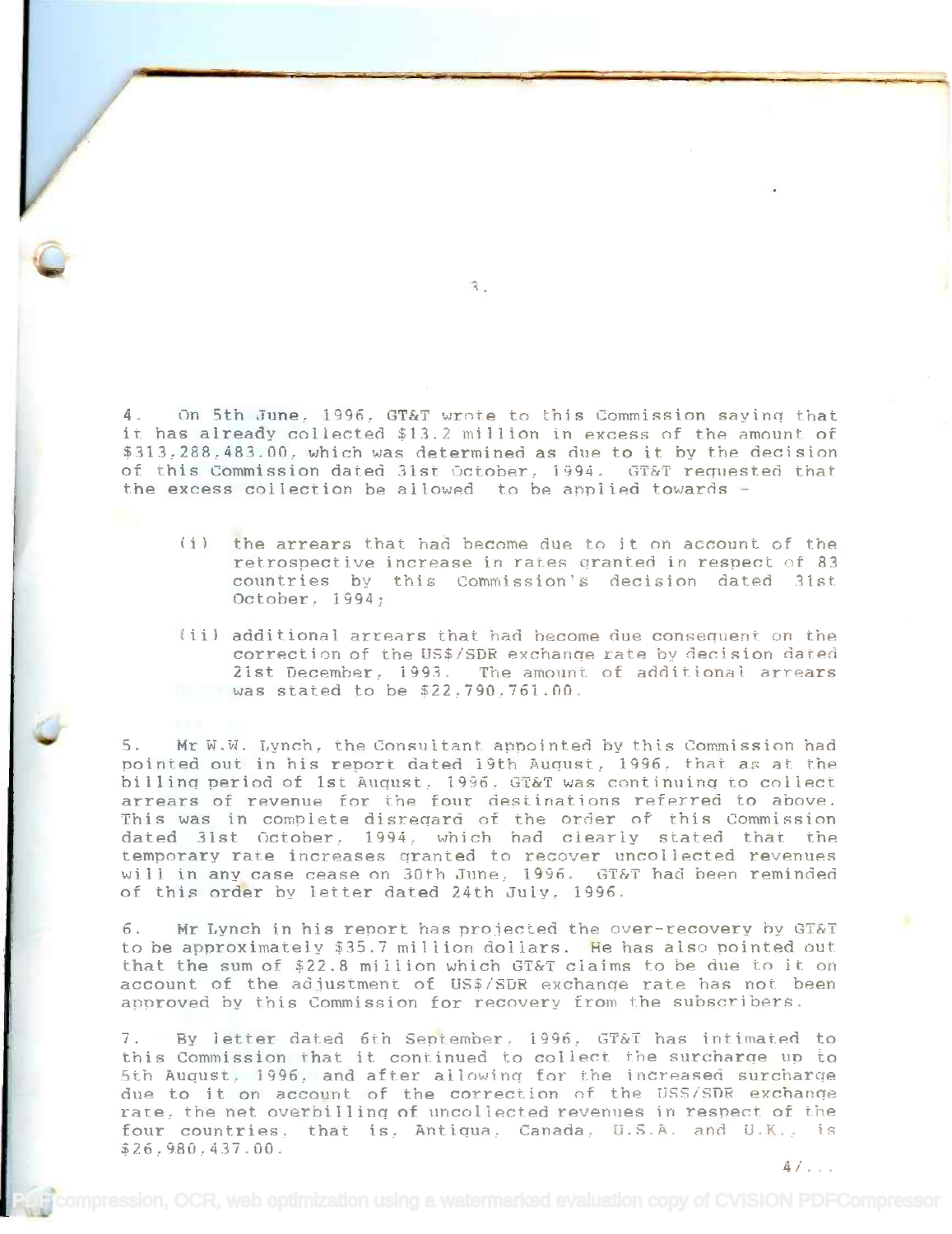4. On 5th June, 1996, GT&T wrote to this Commission saying that a. On Stirbune, 1990, Gial wrote to this commission saying that<br>it has already collected \$13.2 million in excess of the amount of \$313,288,483.00, which was determined as due to it by the decision of this Commission dated 31st October, 1994. GT&T requested that the excess collection be allowed to be applied towards the excess collection be allowed to be apniied towards -

- (i) the arrears that had become due to it on account of the retrospective increase in rates granted in respect of 83 countries by this Commission's decision dated 31st October. 1994; October, J994;
- (ii) additional arrears that had become due consequent on the correction of the US\$/SDR exchange rate by decision dated 21st December, 1993. The amount of additional arrears was stated to be \$22,790,761.00. waR stated to be *\$22,790,761.00.*

5. Mr W.W. Lynch, the Consultant appointed by this Commission had pointed out in his report dated 19th August, 1996, that as at the billing period of 1st August, 1996, GT&T was continuing to collect arrears of revenue for the four destinations referred to above. arrears of revenue for the four destinations referred to above. This was in complete disregard of the order of this Commission This was in complete disreqard of the order of this Commission dated 31st October. 1994, which had clearly stated that the dated 31st October, 1994, which had clearly stated that the temporary rate increases granted to recover uncollected revenues will in any case cease on 30th June, 1996. GT&T had been reminded of this order by letter dated 24th July, 1996.

6. Mr Lynch in his report has projected the over-recovery by GT&T to be approximately \$35.7 million dollars. He has also pointed out to be approximately \$35.7 mi i lion dol lars. He has also pointed out that the sum of \$22.8 million which GT&T claims to be due to it on account of the adjustment of US\$/SDR exchange rate has not been approved by this Commission for recovery from the subscribers. approved by this Commission for recovery from the Rubscribers.

7. By letter dated 6th September, 1996, GT&T has intimated to this Commission that it continued to collect the surcharge up to 5th August, 1996, and after allowing for the increased surcharge due to it on account of the correction of the USS/SDR exchange rate, the net overbilling of uncollected revenues in respect of the four countries, that is, Antiqua, Canada, U.S.A. and U.K., is \$26,980,437.00. 4/... \$7.6:980.437.00.

 $\hat{A}$  .

'Le propriété de la propriété de la propriété de la propriété de la propriété de la propriété de la propriété de la propriété de la propriété de la propriété de la propriété de la propriété de la propriété de la propriété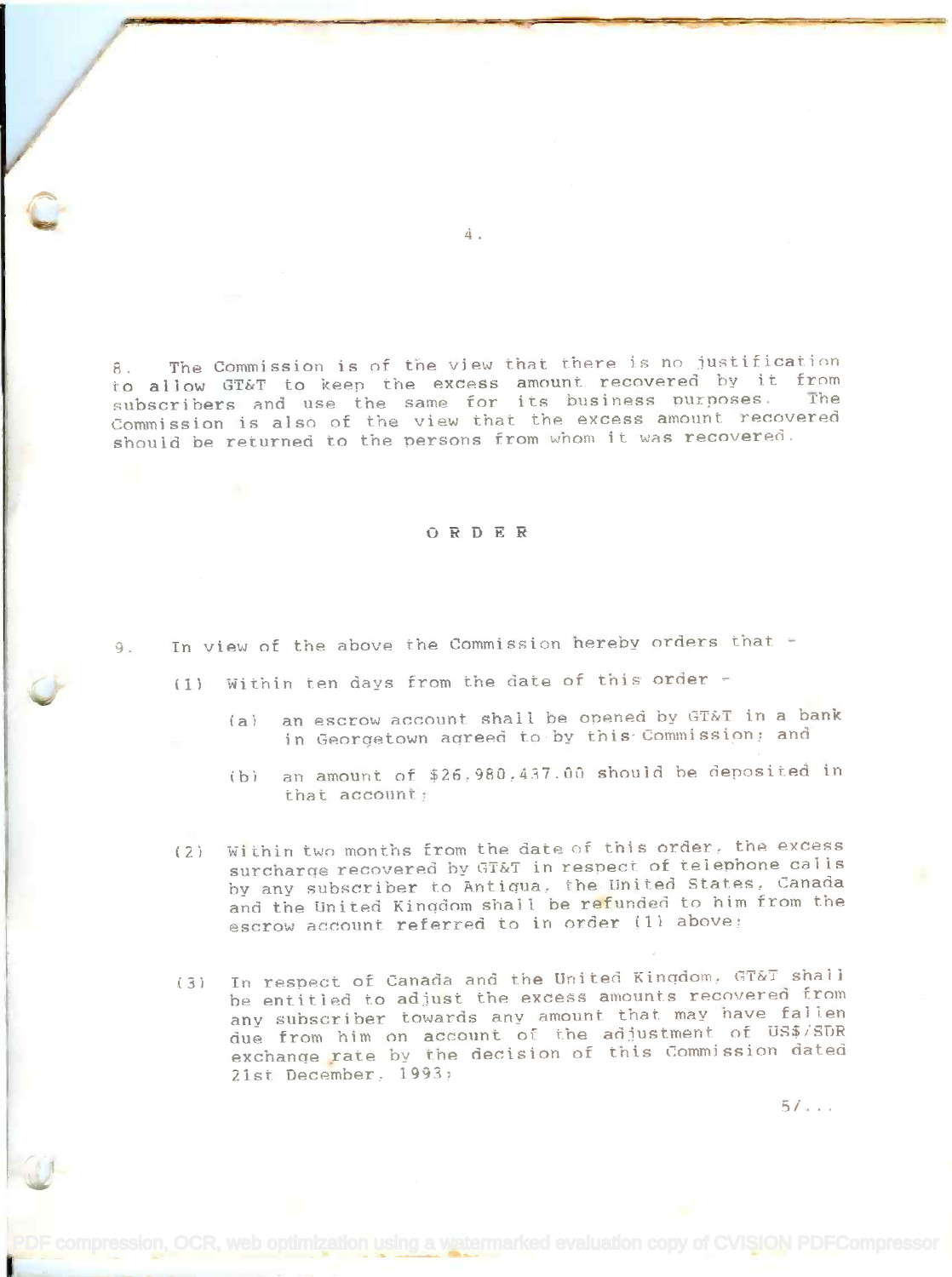8. The Commission is of the view that there is no justification to allow GT&T to keep the excess amount recovered by it from to allow GT&T to keep the excess amount recovered by it from<br>subscribers and use the same for its business purposes. The Commission is also of the view that the excess amount recovered should be returned to the persons from whom it was recovered.

## ORDER

9. In view of the above the Commission hereby orders that -

(1) Within ten days from the date of this order

- (a) an escrow account shall be opened by  $GT\&T$  in a bank in Georgetown agreed toby this-Commission; and in Georqetown aqreed to by this-Commission: and
- (b) an amount of  $$26,980,437.00$  should be deposited in that account; that account,
- (2) Within two months from the date of this order, the excess surcharge recovered by GT&T in respect of telephone calls by anv subscriber to Antigua, the United States, Canada by any subscriber to Antiqua, the United States, canada and the United Kingdom shall be refunded to him from the escrow account referred to in order (1) above;
- (3) In respect of Canada and the United Kingdom, GT&T shall (3) Tn respect of Canada and the unlred Kinqdom, GT&T shall be entitled to adjust the excess amounts recovered from he entitled to adjust the excess amounts recovered from any subscriber towards any amount that may have fallen any suhscriber towards any amount that may have fallen due from him on account of the adjustment of US\$/SDR exchange rate by the decision of this Commission dated exchanqe rate by the decision of this Commission dated 2Ist December, 1991; 21st December, i991:

compression, OCR, web optimization using a watermarked evaluation copy of CVISION PDFCompressor

)..er.;

5/...

4.